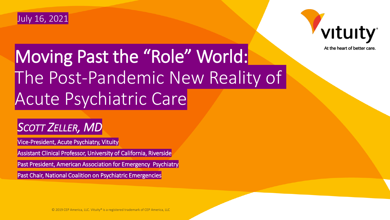



At the heart of better care.

## Moving Past the "Role" World: The Post-Pandemic New Reality of Acute Psychiatric Care

### *SCOTT ZELLER, MD*

Vice-President, Acute Psychiatry, Vituity

Assistant Clinical Professor, University of California, Riverside

Past President, American Association for Emergency Psychiatry

Past Chair, National Coalition on Psychiatric Emergencies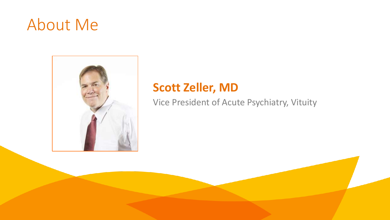## About Me



### **Scott Zeller, MD**

Vice President of Acute Psychiatry, Vituity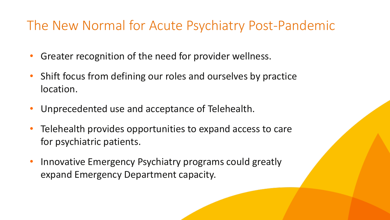### The New Normal for Acute Psychiatry Post-Pandemic

- Greater recognition of the need for provider wellness.
- Shift focus from defining our roles and ourselves by practice location.
- Unprecedented use and acceptance of Telehealth.
- Telehealth provides opportunities to expand access to care for psychiatric patients.
- Innovative Emergency Psychiatry programs could greatly expand Emergency Department capacity.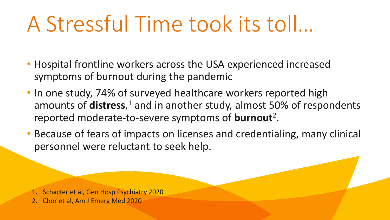## A Stressful Time took its toll…

- Hospital frontline workers across the USA experienced increased symptoms of burnout during the pandemic
- In one study, 74% of surveyed healthcare workers reported high amounts of **distress**,<sup>1</sup> and in another study, almost 50% of respondents reported moderate-to-severe symptoms of **burnout**<sup>2</sup> .
- Because of fears of impacts on licenses and credentialing, many clinical personnel were reluctant to seek help.

1. Schacter et al, Gen Hosp Psychiatry 2020

2. Chor et al, Am J Emerg Med 2020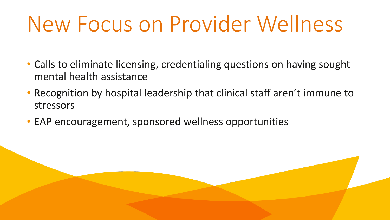## New Focus on Provider Wellness

- Calls to eliminate licensing, credentialing questions on having sought mental health assistance
- Recognition by hospital leadership that clinical staff aren't immune to stressors
- EAP encouragement, sponsored wellness opportunities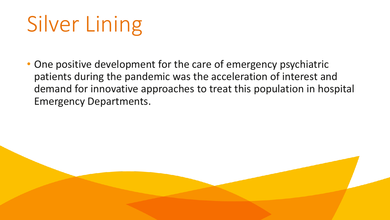## Silver Lining

• One positive development for the care of emergency psychiatric patients during the pandemic was the acceleration of interest and demand for innovative approaches to treat this population in hospital Emergency Departments.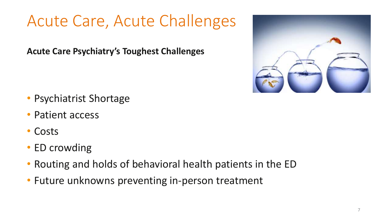## Acute Care, Acute Challenges

**Acute Care Psychiatry's Toughest Challenges**



- Psychiatrist Shortage
- Patient access
- Costs
- ED crowding
- Routing and holds of behavioral health patients in the ED
- Future unknowns preventing in-person treatment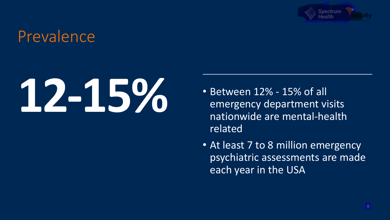

### Prevalence

# **122 – 15% of all COV** • Between 12% - 15% of all emergency department vi

- emergency department visits nationwide are mental-health related
- At least 7 to 8 million emergency psychiatric assessments are made each year in the USA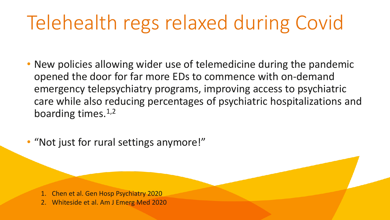## Telehealth regs relaxed during Covid

- New policies allowing wider use of telemedicine during the pandemic opened the door for far more EDs to commence with on-demand emergency telepsychiatry programs, improving access to psychiatric care while also reducing percentages of psychiatric hospitalizations and boarding times. $1,2$
- "Not just for rural settings anymore!"

1. Chen et al. Gen Hosp Psychiatry 2020 2. Whiteside et al. Am J Emerg Med 2020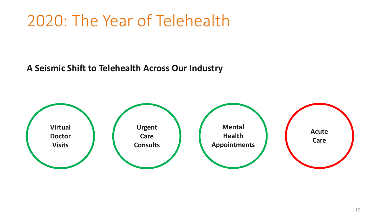## 2020: The Year of Telehealth

**A Seismic Shift to Telehealth Across Our Industry**

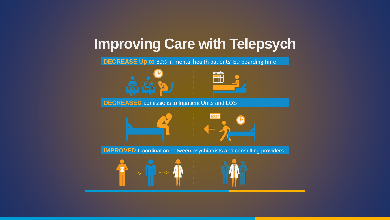### **Improving Care with Telepsych**

**DECREASE Up to** 80% in mental health patients' ED boarding time





**DECREASED** admissions to Inpatient Units and LOS



**IMPROVED** Coordination between psychiatrists and consulting providers



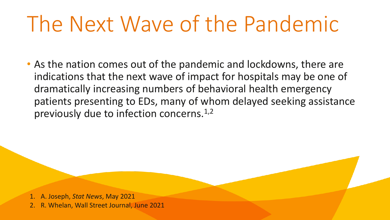## The Next Wave of the Pandemic

• As the nation comes out of the pandemic and lockdowns, there are indications that the next wave of impact for hospitals may be one of dramatically increasing numbers of behavioral health emergency patients presenting to EDs, many of whom delayed seeking assistance previously due to infection concerns.<sup>1,2</sup>

1. A. Joseph, *Stat News*, May 2021 2. R. Whelan, Wall Street Journal, June 2021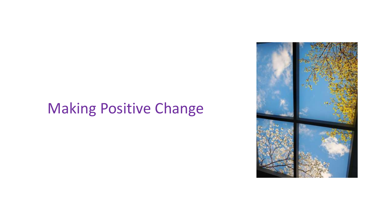### Making Positive Change

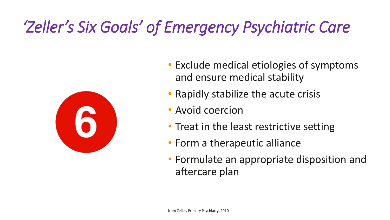## *'Zeller's Six Goals' of Emergency Psychiatric Care*



- Exclude medical etiologies of symptoms and ensure medical stability
- Rapidly stabilize the acute crisis
- Avoid coercion
- Treat in the least restrictive setting
- Form a therapeutic alliance
- Formulate an appropriate disposition and aftercare plan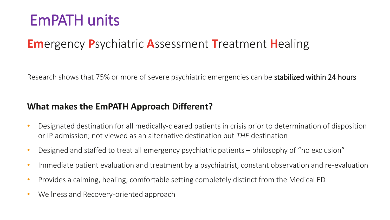## EmPATH units

### **Em**ergency **P**sychiatric **A**ssessment **T**reatment **H**ealing

Research shows that 75% or more of severe psychiatric emergencies can be **stabilized within 24 hours** 

#### **What makes the EmPATH Approach Different?**

- Designated destination for all medically-cleared patients in crisis prior to determination of disposition or IP admission; not viewed as an alternative destination but *THE* destination
- Designed and staffed to treat all emergency psychiatric patients philosophy of "no exclusion"
- Immediate patient evaluation and treatment by a psychiatrist, constant observation and re-evaluation
- Provides a calming, healing, comfortable setting completely distinct from the Medical ED
- Wellness and Recovery-oriented approach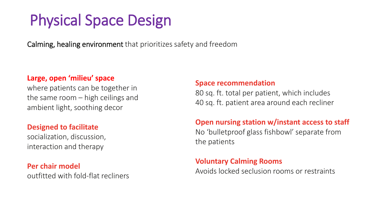## Physical Space Design

Calming, healing environment that prioritizes safety and freedom

#### **Large, open 'milieu' space**

where patients can be together in the same room – high ceilings and ambient light, soothing decor

#### **Designed to facilitate**

socialization, discussion, interaction and therapy

#### **Per chair model**

outfitted with fold-flat recliners

#### **Space recommendation**

80 sq. ft. total per patient, which includes 40 sq. ft. patient area around each recliner

#### **Open nursing station w/instant access to staff**

No 'bulletproof glass fishbowl' separate from the patients

#### **Voluntary Calming Rooms**

Avoids locked seclusion rooms or restraints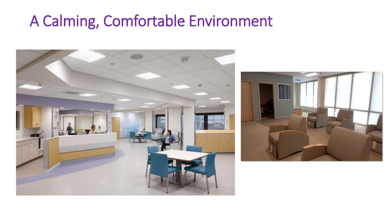## A Calming, Comfortable Environment



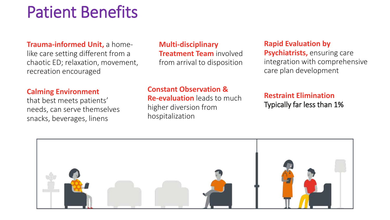## Patient Benefits

**Trauma-informed Unit,** a homelike care setting different from a chaotic ED; relaxation, movement, recreation encouraged

**Multi-disciplinary Treatment Team** involved from arrival to disposition

#### **Rapid Evaluation by**

**Psychiatrists, ensuring care** integration with comprehensive care plan development

#### **Calming Environment**

that best meets patients' needs, can serve themselves snacks, beverages, linens

#### **Constant Observation &**

**Re-evaluation** leads to much higher diversion from hospitalization

#### **Restraint Elimination** Typically far less than 1%

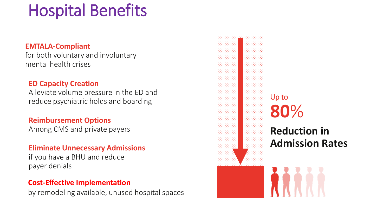## Hospital Benefits

#### **EMTALA-Compliant**

for both voluntary and involuntary mental health crises

#### **ED Capacity Creation**

Alleviate volume pressure in the ED and reduce psychiatric holds and boarding

#### **Reimbursement Options**

Among CMS and private payers

#### **Eliminate Unnecessary Admissions**

if you have a BHU and reduce payer denials

#### **Cost-Effective Implementation**

by remodeling available, unused hospital spaces